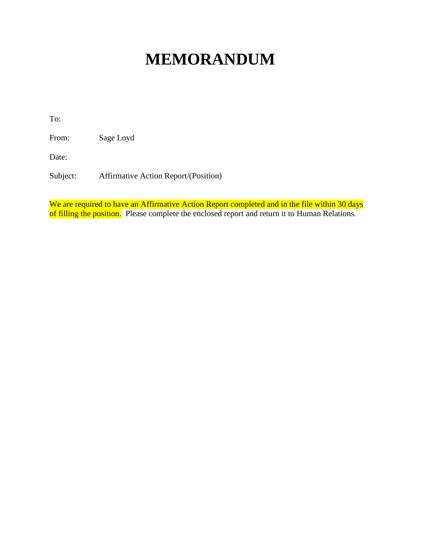## **MEMORANDUM**

To:

From: Sage Loyd

Date:

Subject: Affirmative Action Report/(Position)

We are required to have an Affirmative Action Report completed and in the file within 30 days of filling the position. Please complete the enclosed report and return it to Human Relations.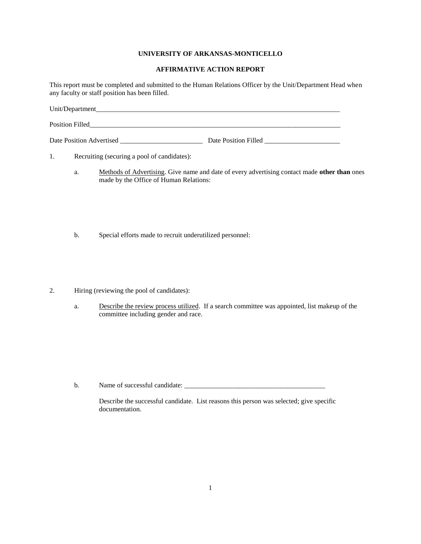## **UNIVERSITY OF ARKANSAS-MONTICELLO**

## **AFFIRMATIVE ACTION REPORT**

This report must be completed and submitted to the Human Relations Officer by the Unit/Department Head when any faculty or staff position has been filled.

| Unit/Department          |                      |
|--------------------------|----------------------|
| Position Filled          |                      |
| Date Position Advertised | Date Position Filled |

1. Recruiting (securing a pool of candidates):

- a. Methods of Advertising. Give name and date of every advertising contact made **other than** ones made by the Office of Human Relations:
- b. Special efforts made to recruit underutilized personnel:
- 2. Hiring (reviewing the pool of candidates):
	- a. Describe the review process utilized. If a search committee was appointed, list makeup of the committee including gender and race.

b. Name of successful candidate:  $\frac{1}{2}$   $\frac{1}{2}$   $\frac{1}{2}$   $\frac{1}{2}$   $\frac{1}{2}$   $\frac{1}{2}$   $\frac{1}{2}$   $\frac{1}{2}$   $\frac{1}{2}$   $\frac{1}{2}$   $\frac{1}{2}$   $\frac{1}{2}$   $\frac{1}{2}$   $\frac{1}{2}$   $\frac{1}{2}$   $\frac{1}{2}$   $\frac{1}{2}$   $\frac{1}{2}$   $\frac{1}{2}$ 

Describe the successful candidate. List reasons this person was selected; give specific documentation.